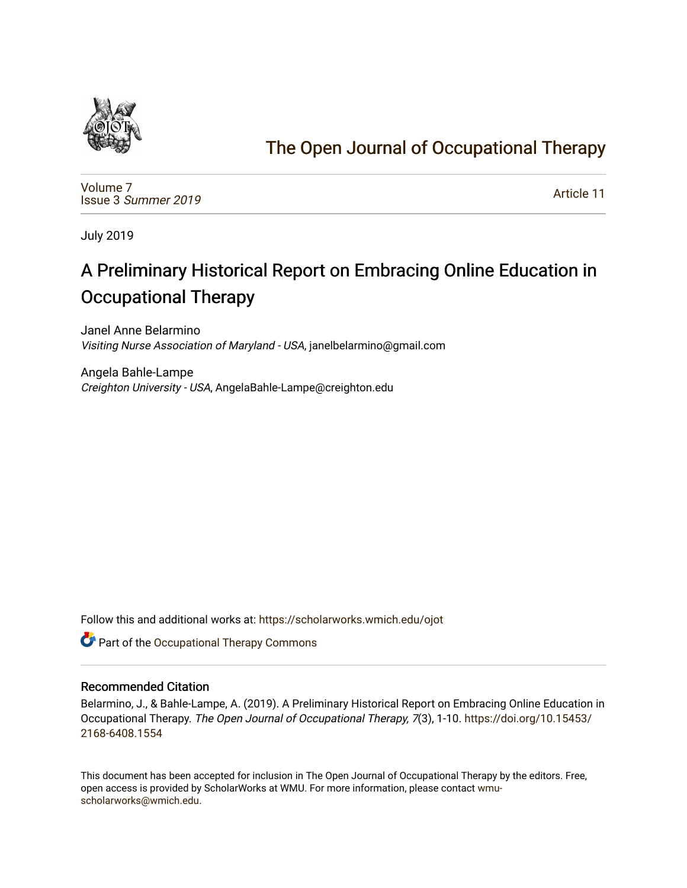

# [The Open Journal of Occupational Therapy](https://scholarworks.wmich.edu/ojot)

[Volume 7](https://scholarworks.wmich.edu/ojot/vol7) Issue 3 [Summer 2019](https://scholarworks.wmich.edu/ojot/vol7/iss3) 

[Article 11](https://scholarworks.wmich.edu/ojot/vol7/iss3/11) 

July 2019

# A Preliminary Historical Report on Embracing Online Education in Occupational Therapy

Janel Anne Belarmino Visiting Nurse Association of Maryland - USA, janelbelarmino@gmail.com

Angela Bahle-Lampe Creighton University - USA, AngelaBahle-Lampe@creighton.edu

Follow this and additional works at: [https://scholarworks.wmich.edu/ojot](https://scholarworks.wmich.edu/ojot?utm_source=scholarworks.wmich.edu%2Fojot%2Fvol7%2Fiss3%2F11&utm_medium=PDF&utm_campaign=PDFCoverPages)

Part of the [Occupational Therapy Commons](http://network.bepress.com/hgg/discipline/752?utm_source=scholarworks.wmich.edu%2Fojot%2Fvol7%2Fiss3%2F11&utm_medium=PDF&utm_campaign=PDFCoverPages) 

### Recommended Citation

Belarmino, J., & Bahle-Lampe, A. (2019). A Preliminary Historical Report on Embracing Online Education in Occupational Therapy. The Open Journal of Occupational Therapy, 7(3), 1-10. [https://doi.org/10.15453/](https://doi.org/10.15453/2168-6408.1554) [2168-6408.1554](https://doi.org/10.15453/2168-6408.1554) 

This document has been accepted for inclusion in The Open Journal of Occupational Therapy by the editors. Free, open access is provided by ScholarWorks at WMU. For more information, please contact [wmu](mailto:wmu-scholarworks@wmich.edu)[scholarworks@wmich.edu.](mailto:wmu-scholarworks@wmich.edu)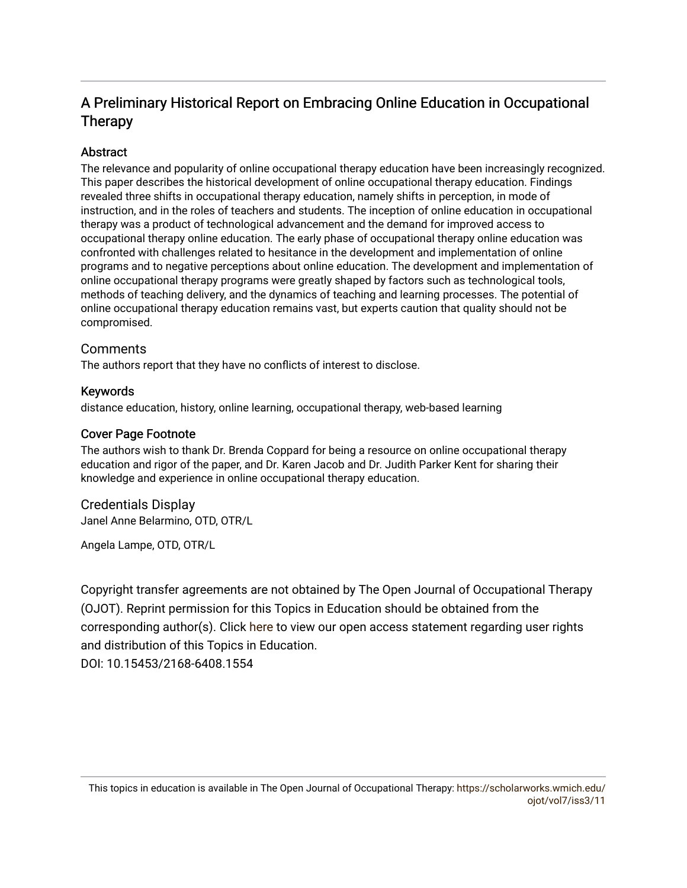# A Preliminary Historical Report on Embracing Online Education in Occupational Therapy

## Abstract

The relevance and popularity of online occupational therapy education have been increasingly recognized. This paper describes the historical development of online occupational therapy education. Findings revealed three shifts in occupational therapy education, namely shifts in perception, in mode of instruction, and in the roles of teachers and students. The inception of online education in occupational therapy was a product of technological advancement and the demand for improved access to occupational therapy online education. The early phase of occupational therapy online education was confronted with challenges related to hesitance in the development and implementation of online programs and to negative perceptions about online education. The development and implementation of online occupational therapy programs were greatly shaped by factors such as technological tools, methods of teaching delivery, and the dynamics of teaching and learning processes. The potential of online occupational therapy education remains vast, but experts caution that quality should not be compromised.

#### **Comments**

The authors report that they have no conflicts of interest to disclose.

#### Keywords

distance education, history, online learning, occupational therapy, web-based learning

#### Cover Page Footnote

The authors wish to thank Dr. Brenda Coppard for being a resource on online occupational therapy education and rigor of the paper, and Dr. Karen Jacob and Dr. Judith Parker Kent for sharing their knowledge and experience in online occupational therapy education.

#### Credentials Display

Janel Anne Belarmino, OTD, OTR/L

Angela Lampe, OTD, OTR/L

Copyright transfer agreements are not obtained by The Open Journal of Occupational Therapy (OJOT). Reprint permission for this Topics in Education should be obtained from the corresponding author(s). Click [here](https://scholarworks.wmich.edu/ojot/policies.html#rights) to view our open access statement regarding user rights and distribution of this Topics in Education. DOI: 10.15453/2168-6408.1554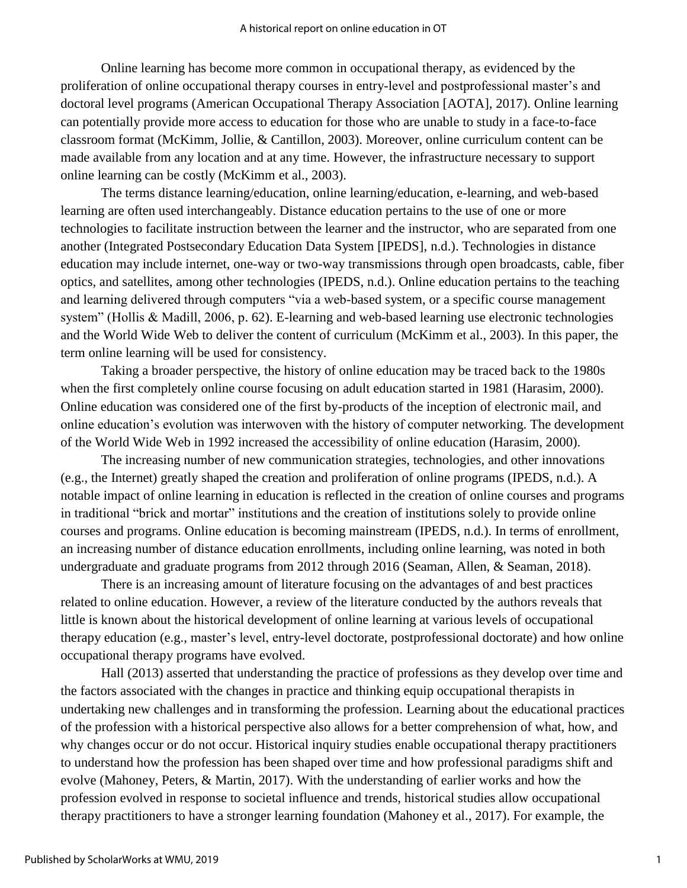Online learning has become more common in occupational therapy, as evidenced by the proliferation of online occupational therapy courses in entry-level and postprofessional master's and doctoral level programs (American Occupational Therapy Association [AOTA], 2017). Online learning can potentially provide more access to education for those who are unable to study in a face-to-face classroom format (McKimm, Jollie, & Cantillon, 2003). Moreover, online curriculum content can be made available from any location and at any time. However, the infrastructure necessary to support online learning can be costly (McKimm et al., 2003).

The terms distance learning/education, online learning/education, e-learning, and web-based learning are often used interchangeably. Distance education pertains to the use of one or more technologies to facilitate instruction between the learner and the instructor, who are separated from one another (Integrated Postsecondary Education Data System [IPEDS], n.d.). Technologies in distance education may include internet, one-way or two-way transmissions through open broadcasts, cable, fiber optics, and satellites, among other technologies (IPEDS, n.d.). Online education pertains to the teaching and learning delivered through computers "via a web-based system, or a specific course management system" (Hollis & Madill, 2006, p. 62). E-learning and web-based learning use electronic technologies and the World Wide Web to deliver the content of curriculum (McKimm et al., 2003). In this paper, the term online learning will be used for consistency.

Taking a broader perspective, the history of online education may be traced back to the 1980s when the first completely online course focusing on adult education started in 1981 (Harasim, 2000). Online education was considered one of the first by-products of the inception of electronic mail, and online education's evolution was interwoven with the history of computer networking. The development of the World Wide Web in 1992 increased the accessibility of online education (Harasim, 2000).

The increasing number of new communication strategies, technologies, and other innovations (e.g., the Internet) greatly shaped the creation and proliferation of online programs (IPEDS, n.d.). A notable impact of online learning in education is reflected in the creation of online courses and programs in traditional "brick and mortar" institutions and the creation of institutions solely to provide online courses and programs. Online education is becoming mainstream (IPEDS, n.d.). In terms of enrollment, an increasing number of distance education enrollments, including online learning, was noted in both undergraduate and graduate programs from 2012 through 2016 (Seaman, Allen, & Seaman, 2018).

There is an increasing amount of literature focusing on the advantages of and best practices related to online education. However, a review of the literature conducted by the authors reveals that little is known about the historical development of online learning at various levels of occupational therapy education (e.g., master's level, entry-level doctorate, postprofessional doctorate) and how online occupational therapy programs have evolved.

Hall (2013) asserted that understanding the practice of professions as they develop over time and the factors associated with the changes in practice and thinking equip occupational therapists in undertaking new challenges and in transforming the profession. Learning about the educational practices of the profession with a historical perspective also allows for a better comprehension of what, how, and why changes occur or do not occur. Historical inquiry studies enable occupational therapy practitioners to understand how the profession has been shaped over time and how professional paradigms shift and evolve (Mahoney, Peters, & Martin, 2017). With the understanding of earlier works and how the profession evolved in response to societal influence and trends, historical studies allow occupational therapy practitioners to have a stronger learning foundation (Mahoney et al., 2017). For example, the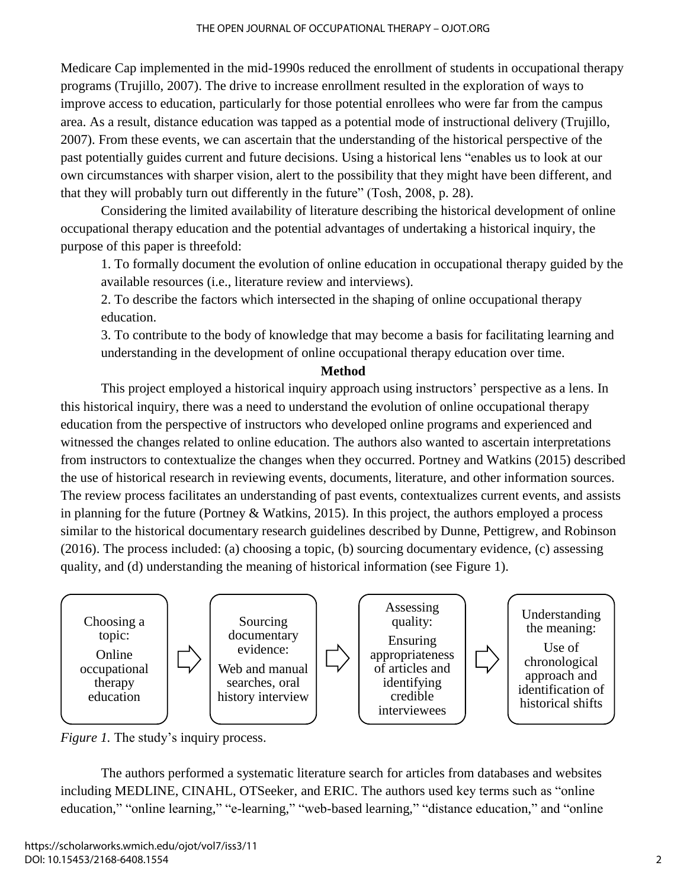Medicare Cap implemented in the mid-1990s reduced the enrollment of students in occupational therapy programs (Trujillo, 2007). The drive to increase enrollment resulted in the exploration of ways to improve access to education, particularly for those potential enrollees who were far from the campus area. As a result, distance education was tapped as a potential mode of instructional delivery (Trujillo, 2007). From these events, we can ascertain that the understanding of the historical perspective of the past potentially guides current and future decisions. Using a historical lens "enables us to look at our own circumstances with sharper vision, alert to the possibility that they might have been different, and that they will probably turn out differently in the future" (Tosh, 2008, p. 28).

Considering the limited availability of literature describing the historical development of online occupational therapy education and the potential advantages of undertaking a historical inquiry, the purpose of this paper is threefold:

1. To formally document the evolution of online education in occupational therapy guided by the available resources (i.e., literature review and interviews).

2. To describe the factors which intersected in the shaping of online occupational therapy education.

3. To contribute to the body of knowledge that may become a basis for facilitating learning and understanding in the development of online occupational therapy education over time.

#### **Method**

This project employed a historical inquiry approach using instructors' perspective as a lens. In this historical inquiry, there was a need to understand the evolution of online occupational therapy education from the perspective of instructors who developed online programs and experienced and witnessed the changes related to online education. The authors also wanted to ascertain interpretations from instructors to contextualize the changes when they occurred. Portney and Watkins (2015) described the use of historical research in reviewing events, documents, literature, and other information sources. The review process facilitates an understanding of past events, contextualizes current events, and assists in planning for the future (Portney & Watkins, 2015). In this project, the authors employed a process similar to the historical documentary research guidelines described by Dunne, Pettigrew, and Robinson (2016). The process included: (a) choosing a topic, (b) sourcing documentary evidence, (c) assessing quality, and (d) understanding the meaning of historical information (see Figure 1).



*Figure 1.* The study's inquiry process.

The authors performed a systematic literature search for articles from databases and websites including MEDLINE, CINAHL, OTSeeker, and ERIC. The authors used key terms such as "online education," "online learning," "e-learning," "web-based learning," "distance education," and "online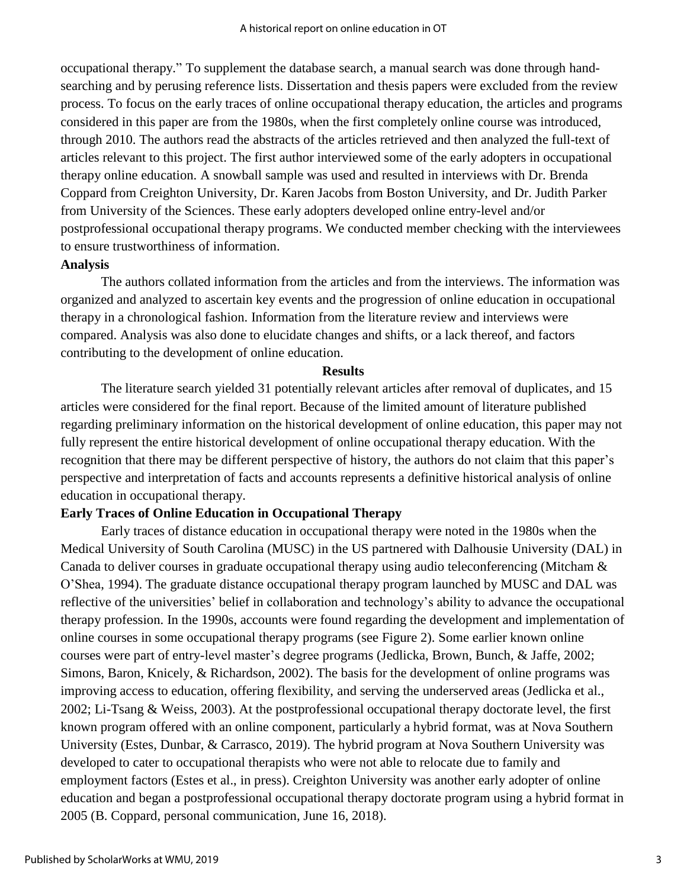occupational therapy." To supplement the database search, a manual search was done through handsearching and by perusing reference lists. Dissertation and thesis papers were excluded from the review process. To focus on the early traces of online occupational therapy education, the articles and programs considered in this paper are from the 1980s, when the first completely online course was introduced, through 2010. The authors read the abstracts of the articles retrieved and then analyzed the full-text of articles relevant to this project. The first author interviewed some of the early adopters in occupational therapy online education. A snowball sample was used and resulted in interviews with Dr. Brenda Coppard from Creighton University, Dr. Karen Jacobs from Boston University, and Dr. Judith Parker from University of the Sciences. These early adopters developed online entry-level and/or postprofessional occupational therapy programs. We conducted member checking with the interviewees to ensure trustworthiness of information.

#### **Analysis**

The authors collated information from the articles and from the interviews. The information was organized and analyzed to ascertain key events and the progression of online education in occupational therapy in a chronological fashion. Information from the literature review and interviews were compared. Analysis was also done to elucidate changes and shifts, or a lack thereof, and factors contributing to the development of online education.

#### **Results**

The literature search yielded 31 potentially relevant articles after removal of duplicates, and 15 articles were considered for the final report. Because of the limited amount of literature published regarding preliminary information on the historical development of online education, this paper may not fully represent the entire historical development of online occupational therapy education. With the recognition that there may be different perspective of history, the authors do not claim that this paper's perspective and interpretation of facts and accounts represents a definitive historical analysis of online education in occupational therapy.

#### **Early Traces of Online Education in Occupational Therapy**

Early traces of distance education in occupational therapy were noted in the 1980s when the Medical University of South Carolina (MUSC) in the US partnered with Dalhousie University (DAL) in Canada to deliver courses in graduate occupational therapy using audio teleconferencing (Mitcham & O'Shea, 1994). The graduate distance occupational therapy program launched by MUSC and DAL was reflective of the universities' belief in collaboration and technology's ability to advance the occupational therapy profession. In the 1990s, accounts were found regarding the development and implementation of online courses in some occupational therapy programs (see Figure 2). Some earlier known online courses were part of entry-level master's degree programs (Jedlicka, Brown, Bunch, & Jaffe, 2002; Simons, Baron, Knicely, & Richardson, 2002). The basis for the development of online programs was improving access to education, offering flexibility, and serving the underserved areas (Jedlicka et al., 2002; Li-Tsang & Weiss, 2003). At the postprofessional occupational therapy doctorate level, the first known program offered with an online component, particularly a hybrid format, was at Nova Southern University (Estes, Dunbar, & Carrasco, 2019). The hybrid program at Nova Southern University was developed to cater to occupational therapists who were not able to relocate due to family and employment factors (Estes et al., in press). Creighton University was another early adopter of online education and began a postprofessional occupational therapy doctorate program using a hybrid format in 2005 (B. Coppard, personal communication, June 16, 2018).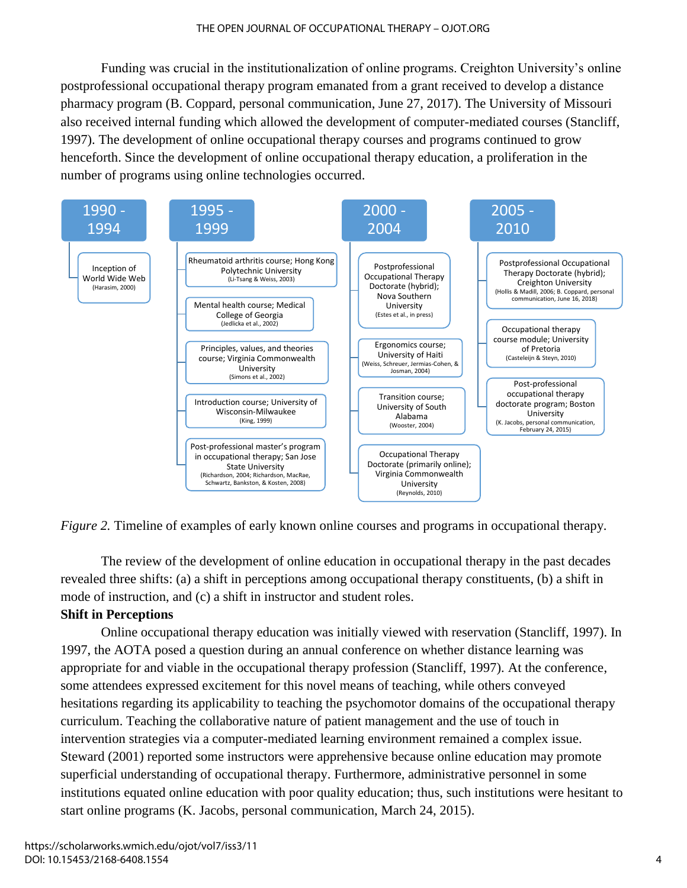Funding was crucial in the institutionalization of online programs. Creighton University's online postprofessional occupational therapy program emanated from a grant received to develop a distance pharmacy program (B. Coppard, personal communication, June 27, 2017). The University of Missouri also received internal funding which allowed the development of computer-mediated courses (Stancliff, 1997). The development of online occupational therapy courses and programs continued to grow henceforth. Since the development of online occupational therapy education, a proliferation in the number of programs using online technologies occurred.



*Figure 2.* Timeline of examples of early known online courses and programs in occupational therapy.

The review of the development of online education in occupational therapy in the past decades revealed three shifts: (a) a shift in perceptions among occupational therapy constituents, (b) a shift in mode of instruction, and (c) a shift in instructor and student roles.

# **Shift in Perceptions**

Online occupational therapy education was initially viewed with reservation (Stancliff, 1997). In 1997, the AOTA posed a question during an annual conference on whether distance learning was appropriate for and viable in the occupational therapy profession (Stancliff, 1997). At the conference, some attendees expressed excitement for this novel means of teaching, while others conveyed hesitations regarding its applicability to teaching the psychomotor domains of the occupational therapy curriculum. Teaching the collaborative nature of patient management and the use of touch in intervention strategies via a computer-mediated learning environment remained a complex issue. Steward (2001) reported some instructors were apprehensive because online education may promote superficial understanding of occupational therapy. Furthermore, administrative personnel in some institutions equated online education with poor quality education; thus, such institutions were hesitant to start online programs (K. Jacobs, personal communication, March 24, 2015).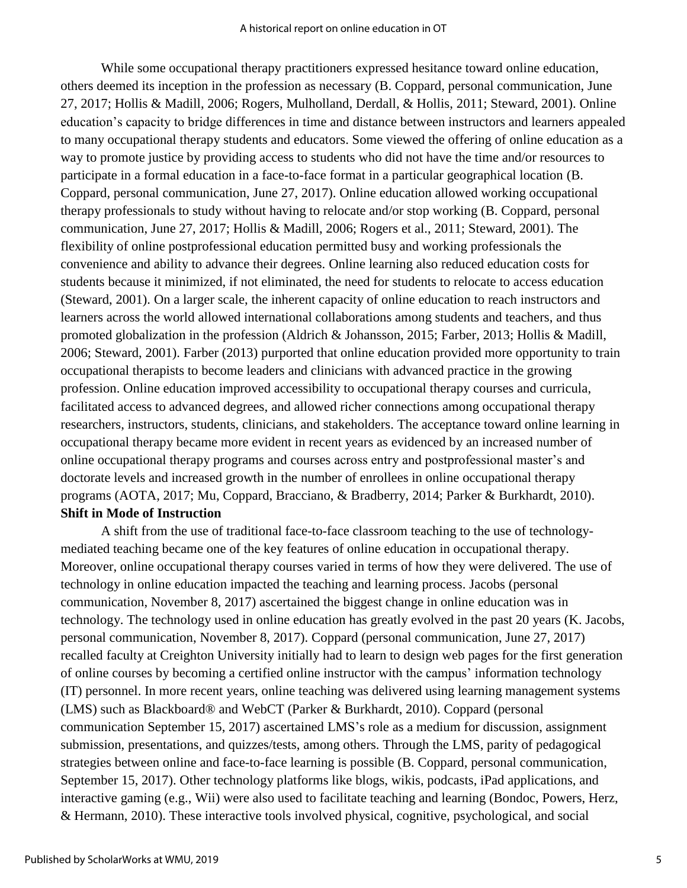While some occupational therapy practitioners expressed hesitance toward online education, others deemed its inception in the profession as necessary (B. Coppard, personal communication, June 27, 2017; Hollis & Madill, 2006; Rogers, Mulholland, Derdall, & Hollis, 2011; Steward, 2001). Online education's capacity to bridge differences in time and distance between instructors and learners appealed to many occupational therapy students and educators. Some viewed the offering of online education as a way to promote justice by providing access to students who did not have the time and/or resources to participate in a formal education in a face-to-face format in a particular geographical location (B. Coppard, personal communication, June 27, 2017). Online education allowed working occupational therapy professionals to study without having to relocate and/or stop working (B. Coppard, personal communication, June 27, 2017; Hollis & Madill, 2006; Rogers et al., 2011; Steward, 2001). The flexibility of online postprofessional education permitted busy and working professionals the convenience and ability to advance their degrees. Online learning also reduced education costs for students because it minimized, if not eliminated, the need for students to relocate to access education (Steward, 2001). On a larger scale, the inherent capacity of online education to reach instructors and learners across the world allowed international collaborations among students and teachers, and thus promoted globalization in the profession (Aldrich & Johansson, 2015; Farber, 2013; Hollis & Madill, 2006; Steward, 2001). Farber (2013) purported that online education provided more opportunity to train occupational therapists to become leaders and clinicians with advanced practice in the growing profession. Online education improved accessibility to occupational therapy courses and curricula, facilitated access to advanced degrees, and allowed richer connections among occupational therapy researchers, instructors, students, clinicians, and stakeholders. The acceptance toward online learning in occupational therapy became more evident in recent years as evidenced by an increased number of online occupational therapy programs and courses across entry and postprofessional master's and doctorate levels and increased growth in the number of enrollees in online occupational therapy programs (AOTA, 2017; Mu, Coppard, Bracciano, & Bradberry, 2014; Parker & Burkhardt, 2010). **Shift in Mode of Instruction**

A shift from the use of traditional face-to-face classroom teaching to the use of technologymediated teaching became one of the key features of online education in occupational therapy. Moreover, online occupational therapy courses varied in terms of how they were delivered. The use of technology in online education impacted the teaching and learning process. Jacobs (personal communication, November 8, 2017) ascertained the biggest change in online education was in technology. The technology used in online education has greatly evolved in the past 20 years (K. Jacobs, personal communication, November 8, 2017). Coppard (personal communication, June 27, 2017) recalled faculty at Creighton University initially had to learn to design web pages for the first generation of online courses by becoming a certified online instructor with the campus' information technology (IT) personnel. In more recent years, online teaching was delivered using learning management systems (LMS) such as Blackboard® and WebCT (Parker & Burkhardt, 2010). Coppard (personal communication September 15, 2017) ascertained LMS's role as a medium for discussion, assignment submission, presentations, and quizzes/tests, among others. Through the LMS, parity of pedagogical strategies between online and face-to-face learning is possible (B. Coppard, personal communication, September 15, 2017). Other technology platforms like blogs, wikis, podcasts, iPad applications, and interactive gaming (e.g., Wii) were also used to facilitate teaching and learning (Bondoc, Powers, Herz, & Hermann, 2010). These interactive tools involved physical, cognitive, psychological, and social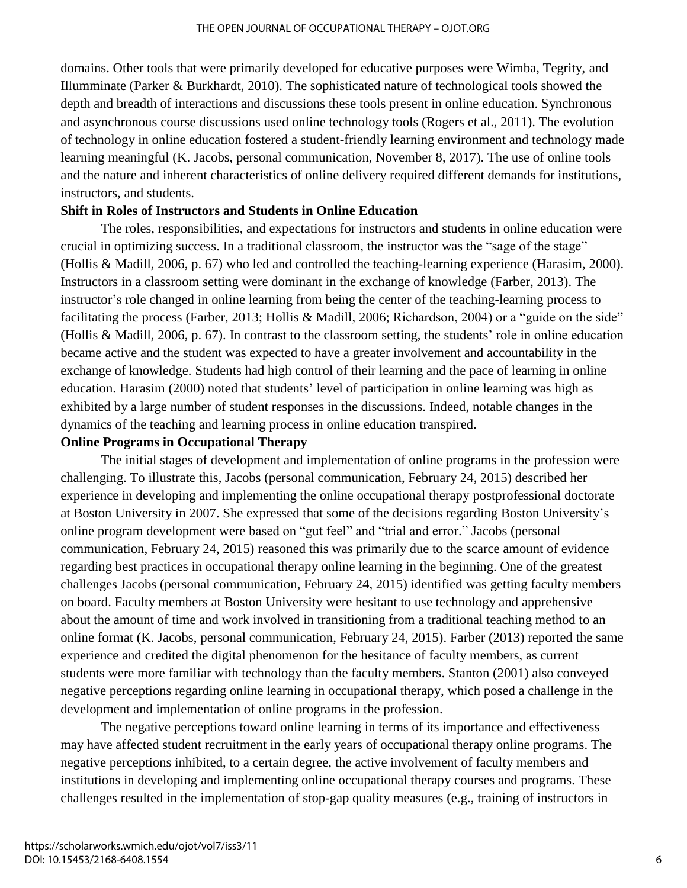domains. Other tools that were primarily developed for educative purposes were Wimba, Tegrity, and Illumminate (Parker & Burkhardt, 2010). The sophisticated nature of technological tools showed the depth and breadth of interactions and discussions these tools present in online education. Synchronous and asynchronous course discussions used online technology tools (Rogers et al., 2011). The evolution of technology in online education fostered a student-friendly learning environment and technology made learning meaningful (K. Jacobs, personal communication, November 8, 2017). The use of online tools and the nature and inherent characteristics of online delivery required different demands for institutions, instructors, and students.

### **Shift in Roles of Instructors and Students in Online Education**

The roles, responsibilities, and expectations for instructors and students in online education were crucial in optimizing success. In a traditional classroom, the instructor was the "sage of the stage" (Hollis & Madill, 2006, p. 67) who led and controlled the teaching-learning experience (Harasim, 2000). Instructors in a classroom setting were dominant in the exchange of knowledge (Farber, 2013). The instructor's role changed in online learning from being the center of the teaching-learning process to facilitating the process (Farber, 2013; Hollis & Madill, 2006; Richardson, 2004) or a "guide on the side" (Hollis & Madill, 2006, p. 67). In contrast to the classroom setting, the students' role in online education became active and the student was expected to have a greater involvement and accountability in the exchange of knowledge. Students had high control of their learning and the pace of learning in online education. Harasim (2000) noted that students' level of participation in online learning was high as exhibited by a large number of student responses in the discussions. Indeed, notable changes in the dynamics of the teaching and learning process in online education transpired.

#### **Online Programs in Occupational Therapy**

The initial stages of development and implementation of online programs in the profession were challenging. To illustrate this, Jacobs (personal communication, February 24, 2015) described her experience in developing and implementing the online occupational therapy postprofessional doctorate at Boston University in 2007. She expressed that some of the decisions regarding Boston University's online program development were based on "gut feel" and "trial and error." Jacobs (personal communication, February 24, 2015) reasoned this was primarily due to the scarce amount of evidence regarding best practices in occupational therapy online learning in the beginning. One of the greatest challenges Jacobs (personal communication, February 24, 2015) identified was getting faculty members on board. Faculty members at Boston University were hesitant to use technology and apprehensive about the amount of time and work involved in transitioning from a traditional teaching method to an online format (K. Jacobs, personal communication, February 24, 2015). Farber (2013) reported the same experience and credited the digital phenomenon for the hesitance of faculty members, as current students were more familiar with technology than the faculty members. Stanton (2001) also conveyed negative perceptions regarding online learning in occupational therapy, which posed a challenge in the development and implementation of online programs in the profession.

The negative perceptions toward online learning in terms of its importance and effectiveness may have affected student recruitment in the early years of occupational therapy online programs. The negative perceptions inhibited, to a certain degree, the active involvement of faculty members and institutions in developing and implementing online occupational therapy courses and programs. These challenges resulted in the implementation of stop-gap quality measures (e.g., training of instructors in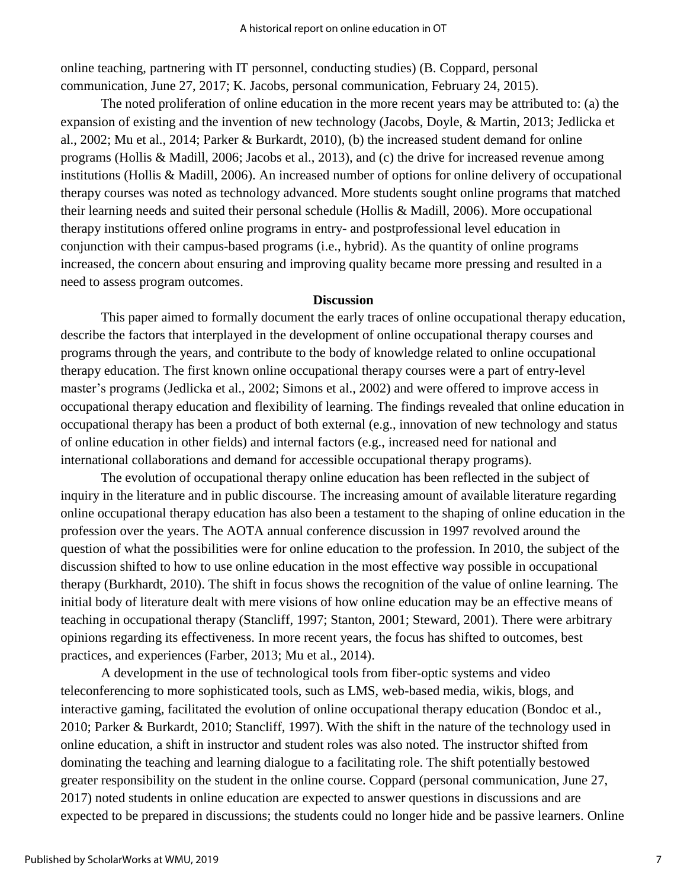online teaching, partnering with IT personnel, conducting studies) (B. Coppard, personal communication, June 27, 2017; K. Jacobs, personal communication, February 24, 2015).

The noted proliferation of online education in the more recent years may be attributed to: (a) the expansion of existing and the invention of new technology (Jacobs, Doyle, & Martin, 2013; Jedlicka et al., 2002; Mu et al., 2014; Parker & Burkardt, 2010), (b) the increased student demand for online programs (Hollis & Madill, 2006; Jacobs et al., 2013), and (c) the drive for increased revenue among institutions (Hollis & Madill, 2006). An increased number of options for online delivery of occupational therapy courses was noted as technology advanced. More students sought online programs that matched their learning needs and suited their personal schedule (Hollis & Madill, 2006). More occupational therapy institutions offered online programs in entry- and postprofessional level education in conjunction with their campus-based programs (i.e., hybrid). As the quantity of online programs increased, the concern about ensuring and improving quality became more pressing and resulted in a need to assess program outcomes.

#### **Discussion**

This paper aimed to formally document the early traces of online occupational therapy education, describe the factors that interplayed in the development of online occupational therapy courses and programs through the years, and contribute to the body of knowledge related to online occupational therapy education. The first known online occupational therapy courses were a part of entry-level master's programs (Jedlicka et al., 2002; Simons et al., 2002) and were offered to improve access in occupational therapy education and flexibility of learning. The findings revealed that online education in occupational therapy has been a product of both external (e.g., innovation of new technology and status of online education in other fields) and internal factors (e.g., increased need for national and international collaborations and demand for accessible occupational therapy programs).

The evolution of occupational therapy online education has been reflected in the subject of inquiry in the literature and in public discourse. The increasing amount of available literature regarding online occupational therapy education has also been a testament to the shaping of online education in the profession over the years. The AOTA annual conference discussion in 1997 revolved around the question of what the possibilities were for online education to the profession. In 2010, the subject of the discussion shifted to how to use online education in the most effective way possible in occupational therapy (Burkhardt, 2010). The shift in focus shows the recognition of the value of online learning. The initial body of literature dealt with mere visions of how online education may be an effective means of teaching in occupational therapy (Stancliff, 1997; Stanton, 2001; Steward, 2001). There were arbitrary opinions regarding its effectiveness. In more recent years, the focus has shifted to outcomes, best practices, and experiences (Farber, 2013; Mu et al., 2014).

A development in the use of technological tools from fiber-optic systems and video teleconferencing to more sophisticated tools, such as LMS, web-based media, wikis, blogs, and interactive gaming, facilitated the evolution of online occupational therapy education (Bondoc et al., 2010; Parker & Burkardt, 2010; Stancliff, 1997). With the shift in the nature of the technology used in online education, a shift in instructor and student roles was also noted. The instructor shifted from dominating the teaching and learning dialogue to a facilitating role. The shift potentially bestowed greater responsibility on the student in the online course. Coppard (personal communication, June 27, 2017) noted students in online education are expected to answer questions in discussions and are expected to be prepared in discussions; the students could no longer hide and be passive learners. Online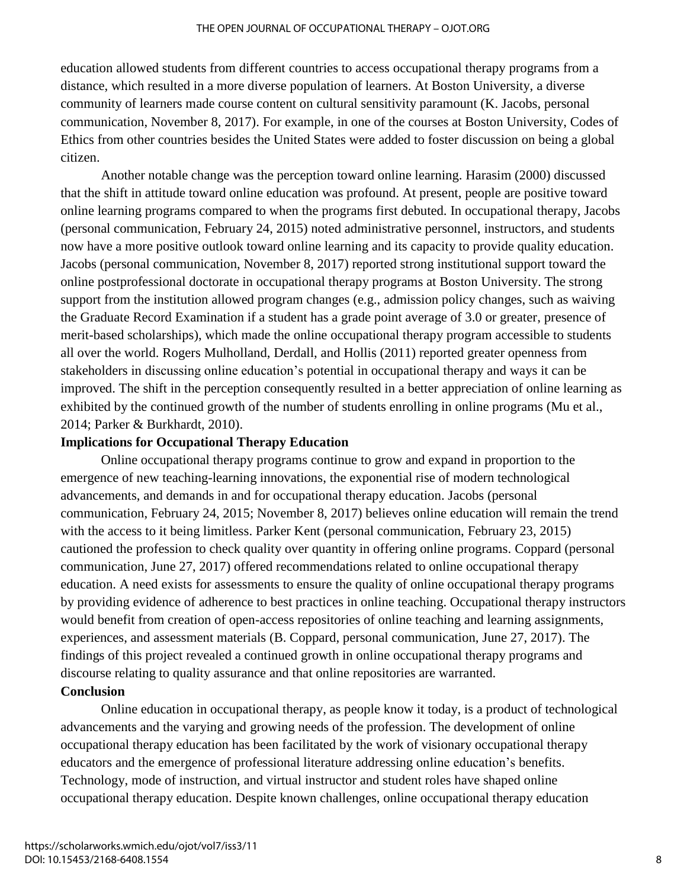education allowed students from different countries to access occupational therapy programs from a distance, which resulted in a more diverse population of learners. At Boston University, a diverse community of learners made course content on cultural sensitivity paramount (K. Jacobs, personal communication, November 8, 2017). For example, in one of the courses at Boston University, Codes of Ethics from other countries besides the United States were added to foster discussion on being a global citizen.

Another notable change was the perception toward online learning. Harasim (2000) discussed that the shift in attitude toward online education was profound. At present, people are positive toward online learning programs compared to when the programs first debuted. In occupational therapy, Jacobs (personal communication, February 24, 2015) noted administrative personnel, instructors, and students now have a more positive outlook toward online learning and its capacity to provide quality education. Jacobs (personal communication, November 8, 2017) reported strong institutional support toward the online postprofessional doctorate in occupational therapy programs at Boston University. The strong support from the institution allowed program changes (e.g., admission policy changes, such as waiving the Graduate Record Examination if a student has a grade point average of 3.0 or greater, presence of merit-based scholarships), which made the online occupational therapy program accessible to students all over the world. Rogers Mulholland, Derdall, and Hollis (2011) reported greater openness from stakeholders in discussing online education's potential in occupational therapy and ways it can be improved. The shift in the perception consequently resulted in a better appreciation of online learning as exhibited by the continued growth of the number of students enrolling in online programs (Mu et al., 2014; Parker & Burkhardt, 2010).

#### **Implications for Occupational Therapy Education**

Online occupational therapy programs continue to grow and expand in proportion to the emergence of new teaching-learning innovations, the exponential rise of modern technological advancements, and demands in and for occupational therapy education. Jacobs (personal communication, February 24, 2015; November 8, 2017) believes online education will remain the trend with the access to it being limitless. Parker Kent (personal communication, February 23, 2015) cautioned the profession to check quality over quantity in offering online programs. Coppard (personal communication, June 27, 2017) offered recommendations related to online occupational therapy education. A need exists for assessments to ensure the quality of online occupational therapy programs by providing evidence of adherence to best practices in online teaching. Occupational therapy instructors would benefit from creation of open-access repositories of online teaching and learning assignments, experiences, and assessment materials (B. Coppard, personal communication, June 27, 2017). The findings of this project revealed a continued growth in online occupational therapy programs and discourse relating to quality assurance and that online repositories are warranted.

# **Conclusion**

Online education in occupational therapy, as people know it today, is a product of technological advancements and the varying and growing needs of the profession. The development of online occupational therapy education has been facilitated by the work of visionary occupational therapy educators and the emergence of professional literature addressing online education's benefits. Technology, mode of instruction, and virtual instructor and student roles have shaped online occupational therapy education. Despite known challenges, online occupational therapy education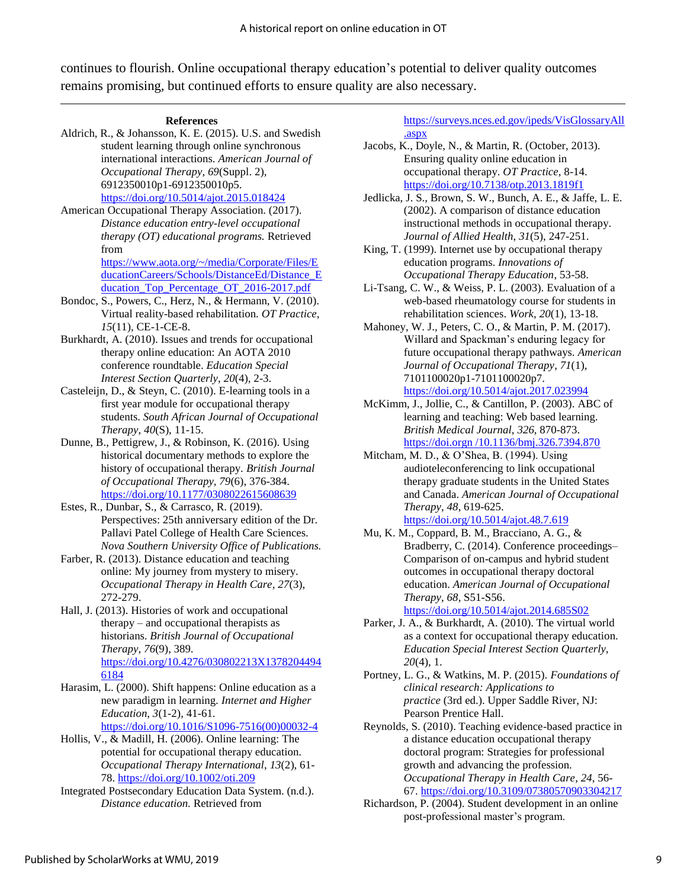continues to flourish. Online occupational therapy education's potential to deliver quality outcomes remains promising, but continued efforts to ensure quality are also necessary.

Aldrich, R., & Johansson, K. E. (2015). U.S. and Swedish student learning through online synchronous international interactions. *American Journal of Occupational Therapy*, *69*(Suppl. 2), 6912350010p1-6912350010p5. <https://doi.org/10.5014/ajot.2015.018424>

American Occupational Therapy Association. (2017). *Distance education entry-level occupational therapy (OT) educational programs.* Retrieved from [https://www.aota.org/~/media/Corporate/Files/E](https://www.aota.org/~/media/Corporate/Files/EducationCareers/Schools/DistanceEd/Distance_Education_Top_Percentage_OT_2016-2017.pdf)

[ducationCareers/Schools/DistanceEd/Distance\\_E](https://www.aota.org/~/media/Corporate/Files/EducationCareers/Schools/DistanceEd/Distance_Education_Top_Percentage_OT_2016-2017.pdf) ducation Top Percentage OT 2016-2017.pdf

- Bondoc, S., Powers, C., Herz, N., & Hermann, V. (2010). Virtual reality-based rehabilitation. *OT Practice*, *15*(11), CE-1-CE-8.
- Burkhardt, A. (2010). Issues and trends for occupational therapy online education: An AOTA 2010 conference roundtable. *Education Special Interest Section Quarterly*, *20*(4), 2-3.
- Casteleijn, D., & Steyn, C. (2010). E-learning tools in a first year module for occupational therapy students. *South African Journal of Occupational Therapy*, *40*(S), 11-15.
- Dunne, B., Pettigrew, J., & Robinson, K. (2016). Using historical documentary methods to explore the history of occupational therapy. *British Journal of Occupational Therapy, 79*(6), 376-384. [https://doi.org/10.1177/0308022615608639](https://doi.org/10.1177%2F0308022615608639)
- Estes, R., Dunbar, S., & Carrasco, R. (2019). Perspectives: 25th anniversary edition of the Dr. Pallavi Patel College of Health Care Sciences. *Nova Southern University Office of Publications.*
- Farber, R. (2013). Distance education and teaching online: My journey from mystery to misery. *Occupational Therapy in Health Care*, *27*(3), 272-279.
- Hall, J. (2013). Histories of work and occupational therapy – and occupational therapists as historians. *British Journal of Occupational Therapy*, *76*(9), 389. [https://doi.org/10.4276/030802213X1378204494](https://doi.org/10.4276/030802213X13782044946184) [6184](https://doi.org/10.4276/030802213X13782044946184)

Harasim, L. (2000). Shift happens: Online education as a new paradigm in learning. *Internet and Higher Education*, *3*(1-2), 41-61.

[https://doi.org/10.1016/S1096-7516\(00\)00032-4](https://doi.org/10.1016/S1096-7516(00)00032-4)

- Hollis, V., & Madill, H. (2006). Online learning: The potential for occupational therapy education. *Occupational Therapy International*, *13*(2), 61- 78.<https://doi.org/10.1002/oti.209>
- Integrated Postsecondary Education Data System. (n.d.). *Distance education.* Retrieved from

[https://surveys.nces.ed.gov/ipeds/VisGlossaryAll](https://surveys.nces.ed.gov/ipeds/VisGlossaryAll.aspx) [.aspx](https://surveys.nces.ed.gov/ipeds/VisGlossaryAll.aspx)

- Jacobs, K., Doyle, N., & Martin, R. (October, 2013). Ensuring quality online education in occupational therapy. *OT Practice*, 8-14. <https://doi.org/10.7138/otp.2013.1819f1>
- Jedlicka, J. S., Brown, S. W., Bunch, A. E., & Jaffe, L. E. (2002). A comparison of distance education instructional methods in occupational therapy. *Journal of Allied Health*, *31*(5), 247-251.
- King, T. (1999). Internet use by occupational therapy education programs. *Innovations of Occupational Therapy Education*, 53-58.
- Li-Tsang, C. W., & Weiss, P. L. (2003). Evaluation of a web-based rheumatology course for students in rehabilitation sciences. *Work*, *20*(1), 13-18.
- Mahoney, W. J., Peters, C. O., & Martin, P. M. (2017). Willard and Spackman's enduring legacy for future occupational therapy pathways. *American Journal of Occupational Therapy*, *71*(1), 7101100020p1-7101100020p7. <https://doi.org/10.5014/ajot.2017.023994>
- McKimm, J., Jollie, C., & Cantillon, P. (2003). ABC of learning and teaching: Web based learning. *British Medical Journal*, *326*, 870-873. https://doi.orgn /10.1136/bmj.326.7394.870
- Mitcham, M. D., & O'Shea, B. (1994). Using audioteleconferencing to link occupational therapy graduate students in the United States and Canada. *American Journal of Occupational Therapy*, *48*, 619-625. <https://doi.org/10.5014/ajot.48.7.619>
- Mu, K. M., Coppard, B. M., Bracciano, A. G., & Bradberry, C. (2014). Conference proceedings– Comparison of on-campus and hybrid student outcomes in occupational therapy doctoral education. *American Journal of Occupational Therapy*, *68*, S51-S56.

<https://doi.org/10.5014/ajot.2014.685S02>

- Parker, J. A., & Burkhardt, A. (2010). The virtual world as a context for occupational therapy education. *Education Special Interest Section Quarterly*, *20*(4), 1.
- Portney, L. G., & Watkins, M. P. (2015). *Foundations of clinical research: Applications to practice* (3rd ed.). Upper Saddle River, NJ: Pearson Prentice Hall.
- Reynolds, S. (2010). Teaching evidence-based practice in a distance education occupational therapy doctoral program: Strategies for professional growth and advancing the profession. *Occupational Therapy in Health Care*, *24*, 56- 67.<https://doi.org/10.3109/07380570903304217>
- Richardson, P. (2004). Student development in an online post-professional master's program.